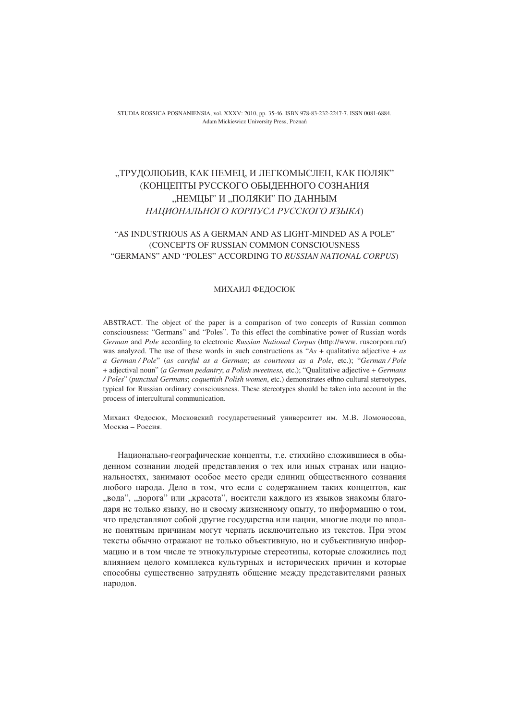STUDIA ROSSICA POSNANIENSIA, vol. XXXV: 2010, pp. 35-46. ISBN 978-83-232-2247-7. ISSN 0081-6884. Adam Mickiewicz University Press, Poznań

## "ТРУДОЛЮБИВ, КАК НЕМЕЦ, И ЛЕГКОМЫСЛЕН, КАК ПОЛЯК" (КОНЦЕПТЫ РУССКОГО ОБЫДЕННОГО СОЗНАНИЯ "НЕМЦЫ" И "ПОЛЯКИ" ПО ДАННЫМ НАЦИОНАЛЬНОГО КОРПУСА РУССКОГО ЯЗЫКА)

## "AS INDUSTRIOUS AS A GERMAN AND AS LIGHT-MINDED AS A POLE" (CONCEPTS OF RUSSIAN COMMON CONSCIOUSNESS "GERMANS" AND "POLES" ACCORDING TO RUSSIAN NATIONAL CORPUS)

## МИХАИЛ ФЕДОСЮК

ABSTRACT. The object of the paper is a comparison of two concepts of Russian common consciousness: "Germans" and "Poles". To this effect the combinative power of Russian words German and Pole according to electronic Russian National Corpus (http://www.ruscorpora.ru/) was analyzed. The use of these words in such constructions as "As + qualitative adjective +  $as$ a German / Pole" (as careful as a German; as courteous as a Pole, etc.); "German / Pole + adjectival noun" (a German pedantry; a Polish sweetness, etc.); "Qualitative adjective + Germans / Poles" (punctual Germans; coquettish Polish women, etc.) demonstrates ethno cultural stereotypes, typical for Russian ordinary consciousness. These stereotypes should be taken into account in the process of intercultural communication.

Михаил Федосюк, Московский государственный университет им. М.В. Ломоносова, Москва - Россия.

Национально-географические концепты, т.е. стихийно сложившиеся в обыденном сознании людей представления о тех или иных странах или национальностях, занимают особое место среди единиц общественного сознания любого народа. Дело в том, что если с содержанием таких концептов, как "вода", "дорога" или "красота", носители каждого из языков знакомы благодаря не только языку, но и своему жизненному опыту, то информацию о том, что представляют собой другие государства или нации, многие люди по вполне понятным причинам могут черпать исключительно из текстов. При этом тексты обычно отражают не только объективную, но и субъективную информацию и в том числе те этнокультурные стереотипы, которые сложились под влиянием целого комплекса культурных и исторических причин и которые способны существенно затруднять общение между представителями разных народов.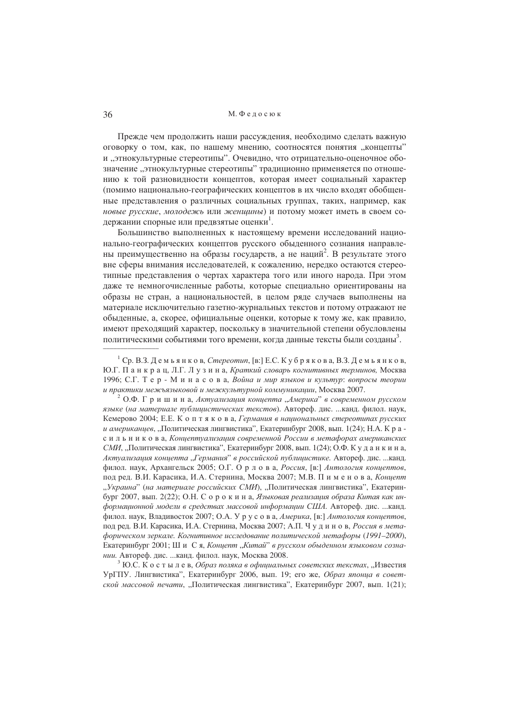Прежде чем продолжить наши рассуждения, необходимо сделать важную оговорку о том, как, по нашему мнению, соотносятся понятия "концепты" и "этнокультурные стереотипы". Очевидно, что отрицательно-оценочное обозначение "этнокультурные стереотипы" традиционно применяется по отношению к той разновидности концептов, которая имеет социальный характер (помимо национально-географических концептов в их число входят обобщенные представления о различных социальных группах, таких, например, как новые русские, молодежь или женщины) и потому может иметь в своем содержании спорные или предвзятые оценки<sup>1</sup>.

Большинство выполненных к настоящему времени исследований национально-географических концептов русского обыденного сознания направлены преимущественно на образы государств, а не наций<sup>2</sup>. В результате этого вне сферы внимания исследователей, к сожалению, нередко остаются стереотипные представления о чертах характера того или иного народа. При этом даже те немногочисленные работы, которые специально ориентированы на образы не стран, а национальностей, в целом ряде случаев выполнены на материале исключительно газетно-журнальных текстов и потому отражают не обыденные, а, скорее, официальные оценки, которые к тому же, как правило, имеют преходящий характер, поскольку в значительной степени обусловлены политическими событиями того времени, когда данные тексты были созданы<sup>3</sup>.

<sup>2</sup> О.Ф. Г р и ш и н а, Актуализация концепта "Америка" в современном русском языке (на материале публицистических текстов). Автореф. дис. ... канд. филол. наук, Кемерово 2004; Е.Е. К о п т я к о в а, Германия в национальных стереотипах русских и американцев, "Политическая лингвистика", Екатеринбург 2008, вып. 1(24); Н.А. К р а с и л ь н и к о в а, Концептуализация современной России в метафорах американских СМИ, "Политическая лингвистика", Екатеринбург 2008, вып. 1(24); О.Ф. К у д а н к и н а, Актуализация концепта "Германия" в российской публицистике. Автореф. дис. ...канд. филол. наук, Архангельск 2005; О.Г. О р л о в а, Россия, [в:] Антология концептов, под ред. В.И. Карасика, И.А. Стернина, Москва 2007; М.В. Пименова, Концепт "Украина" (на материале российских СМИ), "Политическая лингвистика", Екатеринбург 2007, вып. 2(22); О.Н. С о р о к и н а, Языковая реализация образа Китая как информационной модели в средствах массовой информации США. Автореф. дис. ...канд. филол. наук, Владивосток 2007; О.А. У р у с о в а, Америка, [в:] Антология концептов, под ред. В.И. Карасика, И.А. Стернина, Москва 2007; А.П. Чудинов, Россия в метафорическом зеркале. Когнитивное исследование политической метафоры (1991-2000), Екатеринбург 2001; Ши Ся, Концепт, Китай" в русском обыденном языковом сознании. Автореф. дис. ... канд. филол. наук, Москва 2008.

<sup>3</sup> Ю.С. К о с т ы л е в, Образ поляка в официальных советских текстах, "Известия УрГПУ. Лингвистика", Екатеринбург 2006, вып. 19; его же, Образ японца в советской массовой печати, "Политическая лингвистика", Екатеринбург 2007, вып. 1(21);

<sup>&</sup>lt;sup>1</sup> Ср. В.З. Демьянков, *Стереотип*, [в:] Е.С. Кубрякова, В.З. Демьянков, Ю.Г. Панкрац. Л.Г. Лузина, Краткий словарь когнитивных терминов, Москва 1996; С.Г. Т е р - М и н а с о в а, Война и мир языков и культур: вопросы теории и практики межъязыковой и межкультурной коммуникации, Москва 2007.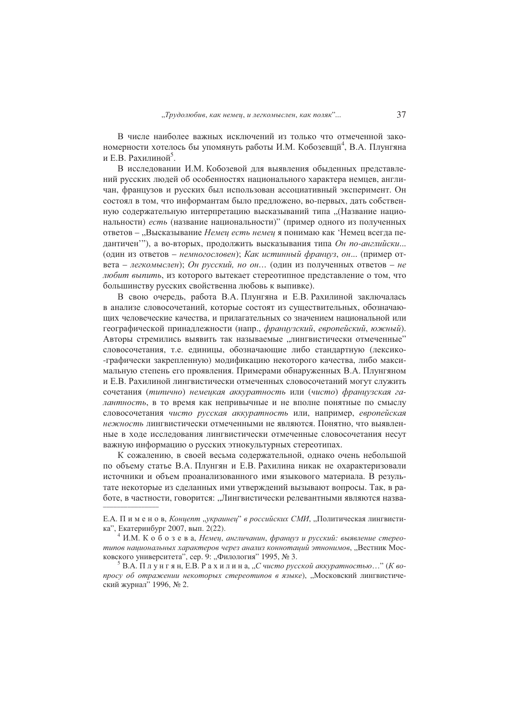В числе наиболее важных исключений из только что отмеченной закономерности хотелось бы упомянуть работы И.М. Кобозевши<sup>4</sup>, В.А. Плунгяна и Е.В. Рахилиной<sup>5</sup>.

В исследовании И.М. Кобозевой для выявления обыденных представлений русских людей об особенностях национального характера немцев, англичан, французов и русских был использован ассоциативный эксперимент. Он состоял в том, что информантам было предложено, во-первых, дать собственную содержательную интерпретацию высказываний типа "(Название национальности) есть (название национальности)" (пример одного из полученных ответов - "Высказывание Немеи есть немеи я понимаю как 'Немец всегда педантичен"), а во-вторых, продолжить высказывания типа Он по-английски... (один из ответов – немногословен); Как истинный франиуз, он... (пример ответа – легкомыслен); Он русский, но он... (один из полученных ответов – не любит выпить, из которого вытекает стереотипное представление о том, что большинству русских свойственна любовь к выпивке).

В свою очередь, работа В.А. Плунгяна и Е.В. Рахилиной заключалась в анализе словосочетаний, которые состоят из существительных, обозначающих человеческие качества, и прилагательных со значением национальной или географической принадлежности (напр., французский, европейский, южный). Авторы стремились выявить так называемые "лингвистически отмеченные" словосочетания, т.е. единицы, обозначающие либо стандартную (лексико--графически закрепленную) модификацию некоторого качества, либо максимальную степень его проявления. Примерами обнаруженных В.А. Плунгяном и Е.В. Рахилиной лингвистически отмеченных словосочетаний могут служить сочетания (типично) немецкая аккуратность или (чисто) французская галантность, в то время как непривычные и не вполне понятные по смыслу словосочетания чисто русская аккуратность или, например, европейская нежность лингвистически отмеченными не являются. Понятно, что выявленные в ходе исследования лингвистически отмеченные словосочетания несут важную информацию о русских этнокультурных стереотипах.

К сожалению, в своей весьма содержательной, однако очень небольшой по объему статье В.А. Плунгян и Е.В. Рахилина никак не охарактеризовали источники и объем проанализованного ими языкового материала. В результате некоторые из сделанных ими утверждений вызывают вопросы. Так, в работе, в частности, говорится: "Лингвистически релевантными являются назва-

Е.А. Пименов, Концепт "украинец" в российских СМИ, "Политическая лингвистика". Екатеринбург 2007. вып. 2(22).

 $4$  И.М. К обозева, Немец, англичанин, француз и русский: выявление стереотипов национальных характеров через анализ коннотаций этнонимов, "Вестник Московского университета", сер. 9: "Филология" 1995, № 3.

<sup>&</sup>lt;sup>5</sup> В.А. Плунгян, Е.В. Рахилина, "С чисто русской аккуратностью..." (К вопросу об отражении некоторых стереотипов в языке), "Московский лингвистический журнал" 1996, № 2.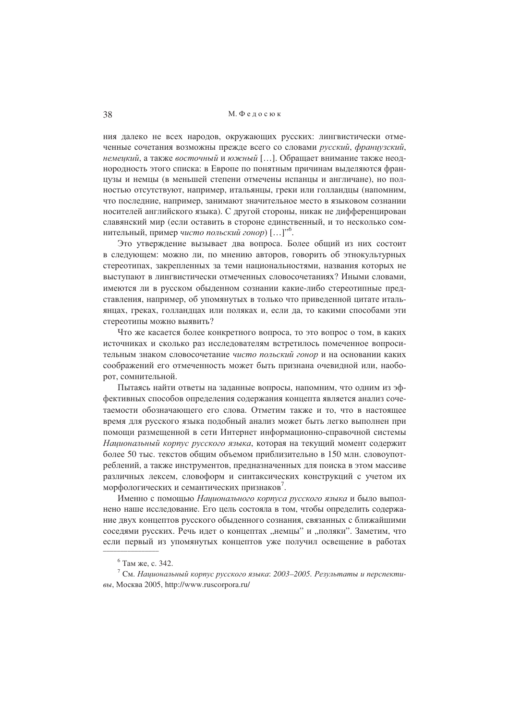ния далеко не всех народов, окружающих русских: лингвистически отмеченные сочетания возможны прежле всего со словами русский, франиузский, немеикий, а также восточный и южный [...]. Обращает внимание также неоднородность этого списка: в Европе по понятным причинам выделяются французы и немцы (в меньшей степени отмечены испанцы и англичане), но полностью отсутствуют, например, итальянцы, греки или голландцы (напомним, что последние, например, занимают значительное место в языковом сознании носителей английского языка). С другой стороны, никак не дифференцирован славянский мир (если оставить в стороне единственный, и то несколько сомнительный, пример чисто польский гонор) [...]".

Это утверждение вызывает два вопроса. Более общий из них состоит в следующем: можно ли, по мнению авторов, говорить об этнокультурных стереотипах, закрепленных за теми национальностями, названия которых не выступают в лингвистически отмеченных словосочетаниях? Иными словами, имеются ли в русском обыленном сознании какие-либо стереотипные представления, например, об упомянутых в только что приведенной цитате итальянцах, греках, голланлцах или поляках и, если да, то какими способами эти стереотипы можно выявить?

Что же касается более конкретного вопроса, то это вопрос о том, в каких источниках и сколько раз исследователям встретилось помеченное вопросительным знаком словосочетание чисто польский гонор и на основании каких соображений его отмеченность может быть признана очевидной или, наоборот, сомнительной.

Пытаясь найти ответы на заданные вопросы, напомним, что одним из эффективных способов определения содержания концепта является анализ сочетаемости обозначающего его слова. Отметим также и то, что в настоящее время для русского языка подобный анализ может быть легко выполнен при помощи размещенной в сети Интернет информационно-справочной системы Национальный корпус русского языка, которая на текущий момент содержит более 50 тыс. текстов общим объемом приблизительно в 150 млн. словоупотреблений, а также инструментов, прелназначенных для поиска в этом массиве различных лексем, словоформ и синтаксических конструкций с учетом их морфологических и семантических признаков.

Именно с помощью Национального корпуса русского языка и было выполнено наше исследование. Его цель состояла в том, чтобы определить содержание двух концептов русского обыденного сознания, связанных с ближайшими соседями русских. Речь идет о концептах "немцы" и "поляки". Заметим, что если первый из упомянутых концептов уже получил освещение в работах

 $6$  Там же, с. 342.

 $\frac{7}{1}$ См. Национальный корпус русского языка: 2003–2005. Результаты и перспективы, Москва 2005, http://www.ruscorpora.ru/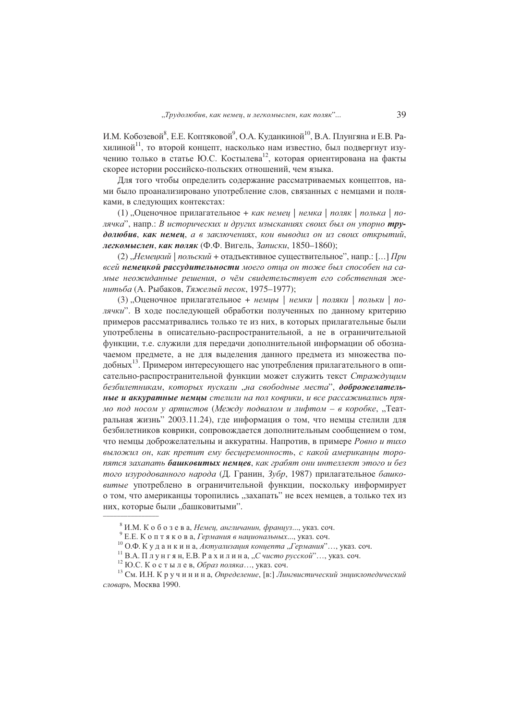И.М. Кобозевой<sup>8</sup>, Е.Е. Коптяковой<sup>9</sup>, О.А. Куданкиной<sup>10</sup>, В.А. Плунгяна и Е.В. Рахилиной<sup>11</sup>, то второй концепт, насколько нам известно, был подвергнут изучению только в статье Ю.С. Костылева<sup>12</sup>, которая ориентирована на факты скорее истории российско-польских отношений, чем языка.

Для того чтобы определить содержание рассматриваемых концептов, нами было проанализировано употребление слов, связанных с немцами и поляками, в следующих контекстах:

(1), Оценочное прилагательное + как немец | немка | поляк | полька | полячка", напр.: В исторических и других изысканиях своих был он упорно трудолюбив, как немец, а в заключениях, кои выводил он из своих открытий, легкомыслен, как поляк (Ф.Ф. Вигель, Записки, 1850-1860);

(2) "Немецкий | польский + отадъективное существительное", напр.: [...] При всей немеикой рассудительности моего отиа он тоже был способен на самые неожиданные решения, о чём свидетельствует его собственная женитьба (А. Рыбаков, Тяжелый песок, 1975-1977);

(3) "Оценочное прилагательное + немиы | немки | поляки | польки | полячки". В ходе последующей обработки полученных по данному критерию примеров рассматривались только те из них, в которых прилагательные были употреблены в описательно-распространительной, а не в ограничительной функции, т.е. служили для передачи дополнительной информации об обозначаемом предмете, а не для выделения данного предмета из множества подобных<sup>13</sup>. Примером интересующего нас употребления прилагательного в описательно-распространительной функции может служить текст Страждущим безбилетникам, которых пускали "на свободные места", доброжелательные и аккуратные немцы стелили на пол коврики, и все рассаживались прямо под носом у артистов (Между подвалом и лифтом - в коробке, "Театральная жизнь" 2003.11.24), где информация о том, что немцы стелили для безбилетников коврики, сопровождается дополнительным сообщением о том, что немцы доброжелательны и аккуратны. Напротив, в примере Ровно и тихо выложил он, как претит ему бесцеремонность, с какой американцы торопятся захапать башковитых немцев, как грабят они интеллект этого и без того изуродованного народа (Д. Гранин, Зубр, 1987) прилагательное башковитые употреблено в ограничительной функции, поскольку информирует о том, что американцы торопились "захапать" не всех немцев, а только тех из них, которые были "башковитыми".

<sup>&</sup>lt;sup>8</sup> И.М. К о б о з е в а, *Немец*, англичанин, француз..., указ. соч.

 $^9$ Е.Е. Коптякова, Германия в национальных..., указ. соч.

 $^{10}$ О.Ф. Куданкина, Актуализация концепта "Германия"..., указ. соч.

<sup>&</sup>lt;sup>11</sup> В.А. Плунгян, Е.В. Рахилина, "Счисто русской"..., указ. соч.

 $^{12}$  Ю.С. Костылев, Образ поляка..., указ. соч.

 $^{13}$  См. И.Н. К р у ч и н и н а, Определение, [в:] Лингвистический энциклопедический словарь, Москва 1990.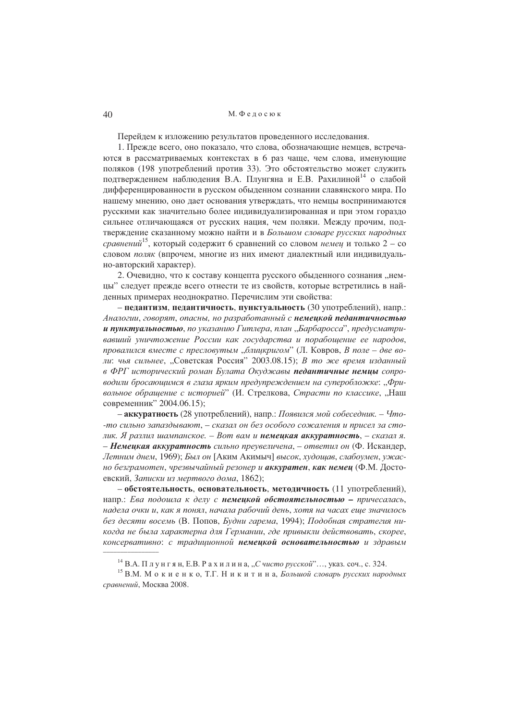М. Фелосюк

Перейдем к изложению результатов проведенного исследования.

1. Прежде всего, оно показало, что слова, обозначающие немцев, встречаются в рассматриваемых контекстах в 6 раз чаще, чем слова, именующие поляков (198 употреблений против 33). Это обстоятельство может служить подтверждением наблюдения В.А. Плунгяна и Е.В. Рахилиной<sup>14</sup> о слабой дифференцированности в русском обыденном сознании славянского мира. По нашему мнению, оно дает основания утверждать, что немцы воспринимаются русскими как значительно более индивидуализированная и при этом гораздо сильнее отличающаяся от русских нация, чем поляки. Между прочим, подтверждение сказанному можно найти и в Большом словаре русских народных *сравнений*<sup>15</sup>, который содержит 6 сравнений со словом немец и только 2 – со словом поляк (впрочем, многие из них имеют диалектный или индивидуально-авторский характер).

2. Очевидно, что к составу концепта русского обыденного сознания "немцы" следует прежде всего отнести те из свойств, которые встретились в найденных примерах неоднократно. Перечислим эти свойства:

- педантизм, педантичность, пунктуальность (30 употреблений), напр.: Аналогии, говорят, опасны, но разработанный с немецкой педантичностью и пунктуальностью, по указанию Гитлера, план "Барбаросса", предусматривавший уничтожение России как государства и порабощение ее народов, провалился вместе с пресловутым "блицкригом" (Л. Ковров, В поле - две воли: чья сильнее, "Советская Россия" 2003.08.15); В то же время изданный в ФРГ исторический роман Булата Окуджавы педантичные немиы сопроводили бросающимся в глаза ярким предупреждением на суперобложке: "Фривольное обращение с историей" (И. Стрелкова, Страсти по классике, "Наш современник" 2004.06.15);

- аккуратность (28 употреблений), напр.: Появился мой собеседник. - Что--то сильно запаздывают, - сказал он без особого сожаления и присел за столик. Я разлил шампанское. - Вот вам и немецкая аккуратность, - сказал я. – Немеикая аккуратность сильно преувеличена, – ответил он (Ф. Искандер, Летним днем, 1969); Был он [Аким Акимыч] высок, худощав, слабоумен, ужасно безграмотен, чрезвычайный резонер и аккуратен, как немец (Ф.М. Достоевский, Записки из мертвого дома, 1862);

- обстоятельность, основательность, методичность (11 употреблений), напр.: Ева подошла к делу с немецкой обстоятельностью - причесалась, надела очки и, как я понял, начала рабочий день, хотя на часах еще значилось без десяти восемь (В. Попов, Будни гарема, 1994); Подобная стратегия никогда не была характерна для Германии, где привыкли действовать, скорее, консервативно: с традиционной немецкой основательностью и здравым

<sup>&</sup>lt;sup>14</sup> В.А. Плунгян, Е.В. Рахилина, "С чисто русской"..., указ. соч., с. 324.

<sup>&</sup>lt;sup>15</sup> В.М. Мокиенко, Т.Г. Никитина, *Большой словарь русских народных* сравнений, Москва 2008.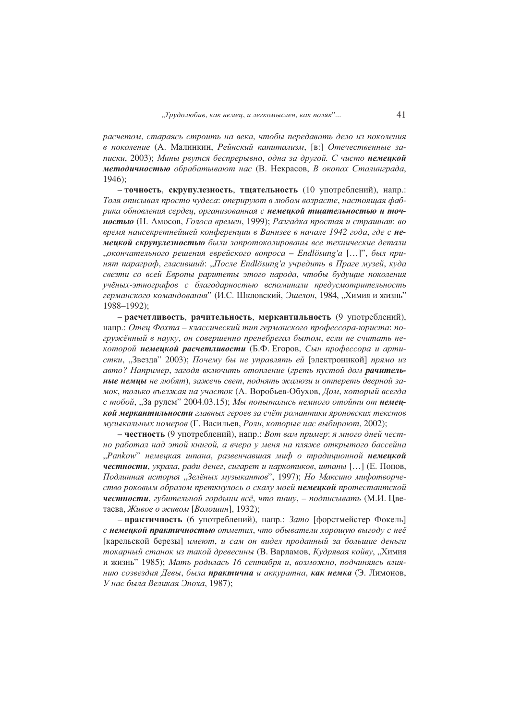расчетом, стараясь строить на века, чтобы передавать дело из поколения в поколение (А. Малинкин, Рейнский капитализм, [в:] Отечественные записки, 2003); Мины рвутся беспрерывно, одна за другой. С чисто немеикой методичностью обрабатывают нас (В. Некрасов, В окопах Сталинграда,  $1946$ ;

- точность, скрупулезность, тщательность (10 употреблений), напр.: Толя описывал просто чудеса: оперируют в любом возрасте, настоящая фабрика обновления сердец, организованная с немецкой тщательностью и точностью (Н. Амосов, Голоса времен, 1999); Разгадка простая и страшная: во время наисекретнейшей конференции в Ваннзее в начале 1942 года, где с немецкой скрупулезностью были запротоколированы все технические детали "окончательного решения еврейского вопроса – Endlösung'a [...]", был принят параграф, гласивший: "После Endlösung'a учредить в Праге музей, куда свезти со всей Европы раритеты этого народа, чтобы будущие поколения учёных-этнографов с благодарностью вспоминали предусмотрительность германского командования" (И.С. Шкловский, Эшелон, 1984, "Химия и жизнь" 1988-1992);

- расчетливость, рачительность, меркантильность (9 употреблений), напр.: Отец Фохта - классический тип германского профессора-юриста: погружённый в науку, он совершенно пренебрегал бытом, если не считать некоторой немецкой расчетливости (Б.Ф. Егоров, Сын профессора и артистки, "Звезда" 2003); Почему бы не управлять ей [электроникой] прямо из авто? Например, загодя включить отопление (греть пустой дом рачительные немцы не любят), зажечь свет, поднять жалюзи и отпереть дверной замок, только въезжая на участок (А. Воробьев-Обухов, Дом, который всегда с тобой, "За рулем" 2004.03.15); Мы попытались немного отойти от немецкой меркантильности главных героев за счёт романтики яроновских текстов музыкальных номеров (Г. Васильев, Роли, которые нас выбирают, 2002);

– честность (9 употреблений), напр.: Вот вам пример: я много дней честно работал над этой книгой, а вчера у меня на пляже открытого бассейна "Рапкоw" немеикая шпана, развенчавшая миф о традиционной немеикой честности, украла, ради денег, сигарет и наркотиков, штаны [...] (Е. Попов, Подлинная история "Зелёных музыкантов", 1997); Но Максино мифотворчество роковым образом преткнулось о скалу моей немецкой протестантской честности, губительной гордыни всё, что пишу, - подписывать (М.И. Цветаева, Живое о живом [Волошин], 1932);

- практичность (6 употреблений), напр.: Зато [форстмейстер Фокель] с немеикой практичностью отметил, что обыватели хорошую выгоду с неё [карельской березы] имеют, и сам он видел проданный за большие деньги токарный станок из такой древесины (В. Варламов, Кудрявая койву, "Химия и жизнь" 1985); Мать родилась 16 сентября и, возможно, подчиняясь влиянию созвездия Девы, была практична и аккуратна, как немка (Э. Лимонов, У нас была Великая Эпоха, 1987);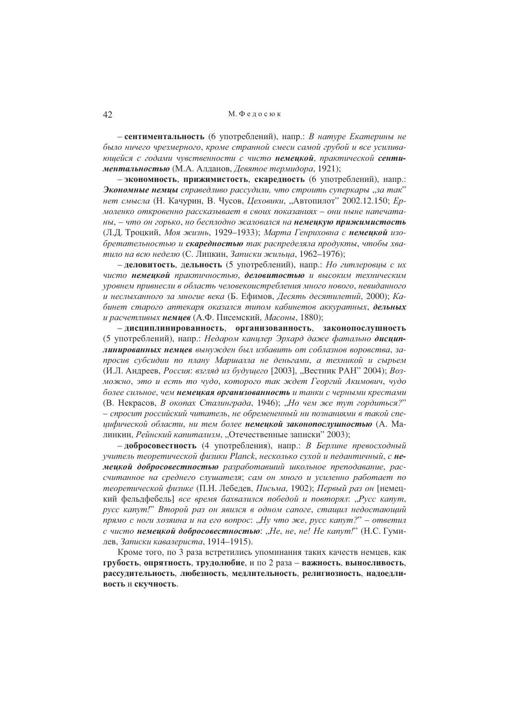## М. Фелосюк

- сентиментальность (6 употреблений), напр.: В натуре Екатерины не было ничего чрезмерного, кроме странной смеси самой грубой и все усиливающейся с годами чувственности с чисто немецкой, практической сентиментальностью (М.А. Алданов, Девятое термидора, 1921);

- экономность, прижимистость, скаредность (6 употреблений), напр.: Экономные немцы справедливо рассудили, что строить суперкары "за так" нет смысла (Н. Качурин, В. Чусов, Цеховики, "Автопилот" 2002.12.150; Ермоленко откровенно рассказывает в своих показаниях - они ныне напечатаны, - что он горько, но бесплодно жаловался на немеикую прижимистость (Л.Д. Троцкий, Моя жизнь, 1929–1933); Марта Генриховна с немецкой изобретательностью и скаредностью так распределяла продукты, чтобы хватило на всю неделю (С. Липкин, Записки жильиа, 1962–1976);

- деловитость, дельность (5 употреблений), напр.: Но гитлеровцы с их чисто немецкой практичностью, деловитостью и высоким техническим уровнем привнесли в область человекоистребления много нового, невиданного и неслыханного за многие века (Б. Ефимов, Десять десятилетий, 2000); Кабинет старого аптекаря оказался типом кабинетов аккуратных, дельных и расчетливых немцев (А.Ф. Писемский, Масоны, 1880);

- дисциплинированность, организованность, законопослушность (5 употреблений), напр.: Недаром канцлер Эрхард даже фатально дисциплинированных немцев вынужден был избавить от соблазнов воровства, запросив субсидии по плану Маршалла не деньгами, а техникой и сырьем (И.Л. Андреев, Россия; взгляд из будушего [2003], "Вестник РАН" 2004); Возможно, это и есть то чудо, которого так ждет Георгий Акимович, чудо более сильное, чем немецкая организованность и танки с черными крестами (В. Некрасов, В окопах Сталинграда, 1946); "Но чем же тут гордиться?" - спросит российский читатель, не обремененный ни познаниями в такой специфической области, ни тем более немецкой законопослушностью (А. Малинкин, Рейнский капитализм, "Отечественные записки" 2003);

- добросовестность (4 употребления), напр.: В Берлине превосходный учитель теоретической физики Planck, несколько сухой и педантичный, с немецкой добросовестностью разработавший школьное преподавание, рассчитанное на среднего слушателя; сам он много и усиленно работает по теоретической физике (П.Н. Лебедев, Письма, 1902); Первый раз он [немецкий фельдфебель] все время бахвалился победой и повторял: "Русс капут, русс капут!" Второй раз он явился в одном сапоге, стащил недостающий прямо с ноги хозяина и на его вопрос: "Ну что же, русс капут?" – ответил с чисто немецкой добросовестностью: "Не, не, не! Не капут!" (Н.С. Гумилев, Записки кавалериста, 1914–1915).

Кроме того, по 3 раза встретились упоминания таких качеств немцев, как грубость, опрятность, трудолюбие, и по 2 раза - важность, выносливость, рассудительность, любезность, медлительность, религиозность, надоедливость и скучность.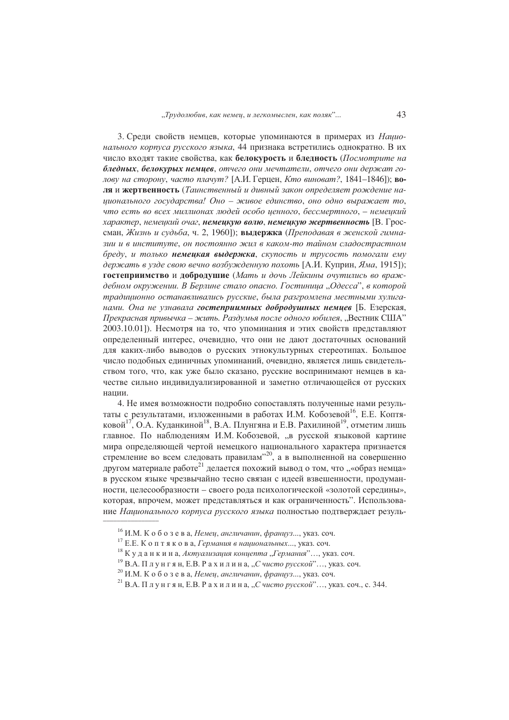3. Среди свойств немцев, которые упоминаются в примерах из Национального корпуса русского языка, 44 признака встретились однократно. В их число входят такие свойства, как белокурость и бледность (Посмотрите на бледных, белокурых немцев, отчего они мечтатели, отчего они держат голову на сторону, часто плачут? [А.И. Герцен, Кто виноват?, 1841-1846]); воля и жертвенность (Таинственный и дивный закон определяет рождение наиионального государства! Оно - живое единство, оно одно выражает то, что есть во всех миллионах людей особо ценного, бессмертного, - немецкий характер, немеикий очаг, немеикую волю, немеикую жертвенность [В. Гроссман. Жизнь и судьба, ч. 2, 1960): вылержка (Преподавая в женской гимназии и в институте, он постоянно жил в каком-то тайном сладострастном бреду, и только немеикая выдержка, скупость и трусость помогали ему держать в узде свою вечно возбужденную похоть [А.И. Куприн, Яма, 1915]); гостеприимство и добродушие (Мать и дочь Лейкины очутились во враждебном окружении. В Берлине стало опасно. Гостиница "Одесса", в которой традиционно останавливались русские, была разгромлена местными хулиганами. Она не узнавала гостеприимных добродушных немиев [Б. Езерская, Прекрасная привычка – жить. Раздумья после одного юбилея, "Вестник США" 2003.10.01]). Несмотря на то, что упоминания и этих свойств представляют определенный интерес, очевидно, что они не дают достаточных оснований для каких-либо выводов о русских этнокультурных стереотипах. Большое число подобных единичных упоминаний, очевидно, является лишь свидетельством того, что, как уже было сказано, русские воспринимают немцев в качестве сильно индивидуализированной и заметно отличающейся от русских нании.

4. Не имея возможности подробно сопоставлять полученные нами результаты с результатами, изложенными в работах И.М. Кобозевой<sup>16</sup>, Е.Е. Коптяковой<sup>17</sup>, O.A. Куданкиной<sup>18</sup>, B.A. Плунгяна и Е.В. Рахилиной<sup>19</sup>, отметим лишь главное. По наблюдениям И.М. Кобозевой, "в русской языковой картине мира определяющей чертой немецкого национального характера признается стремление во всем следовать правилам",20, а в выполненной на совершенно другом материале работе<sup>21</sup> делается похожий вывод о том, что "«образ немца» в русском языке чрезвычайно тесно связан с идеей взвешенности, продуманности, целесообразности - своего рода психологической «золотой середины», которая, впрочем, может представляться и как ограниченность". Использование Национального корпуса русского языка полностью полтвержлает резуль-

<sup>&</sup>lt;sup>16</sup> И.М. К о б о з е в а, *Немец*, англичанин, француз..., указ. соч.

<sup>&</sup>lt;sup>17</sup> Е.Е. Коптякова, Германия в национальных..., указ. соч.

<sup>&</sup>lt;sup>18</sup> Куданкина, Актуализация концепта "Германия"..., указ. соч.

 $^{19}$  В.А. Плунгян, Е.В. Рахилина, "Счисто русской"..., указ. соч.

 $^{20}$  И.М. К о б о з е в а, Немец, англичанин, француз..., указ. соч.

<sup>&</sup>lt;sup>21</sup> В.А. Плунгян, Е.В. Рахилина, "Счисто русской"..., указ. соч., с. 344.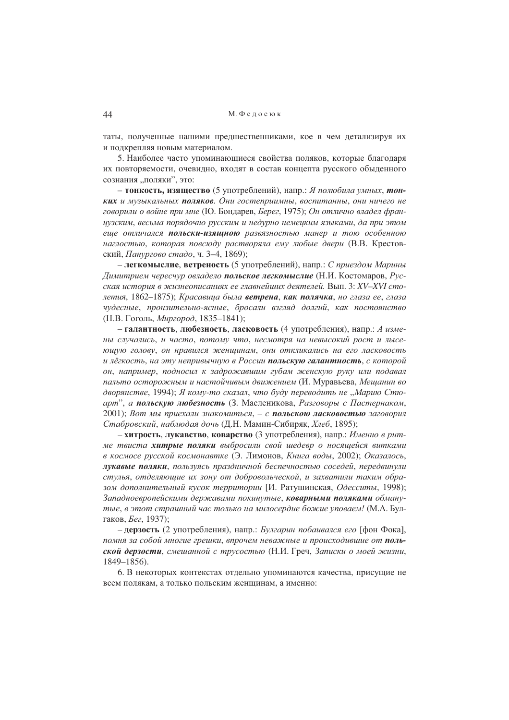таты, полученные нашими предшественниками, кое в чем детализируя их и подкрепляя новым материалом.

5. Наиболее часто упоминающиеся свойства поляков, которые благодаря их повторяемости, очевидно, входят в состав концепта русского обыденного сознания "поляки", это:

- тонкость, изящество (5 употреблений), напр.: Я полюбила умных, тонких и музыкальных поляков. Они гостеприимны, воспитанны, они ничего не говорили о войне при мне (Ю. Бондарев, Берег, 1975); Он отлично владел французским, весьма порядочно русским и недурно немецким языками, да при этом еще отличался польски-изящною развязностью манер и тою особенною наглостью, которая повсюду растворяла ему любые двери (В.В. Крестовский, Панургово стадо, ч. 3-4, 1869);

- легкомыслие, ветреность (5 употреблений), напр.: С приездом Марины Димитрием чересчур овладело польское легкомыслие (Н.И. Костомаров, Русская история в жизнеописаниях ее главнейших деятелей. Вып. 3: XV-XVI столетия, 1862–1875); Красавица была ветрена, как полячка, но глаза ее, глаза чудесные, пронзительно-ясные, бросали взгляд долгий, как постоянство (Н.В. Гоголь, *Миргород*, 1835-1841);

- галантность, любезность, ласковость (4 употребления), напр.: А измены случались, и часто, потому что, несмотря на невысокий рост и лысеющую голову, он нравился женщинам, они откликались на его ласковость и лёгкость, на эту непривычную в России польскую галантность, с которой он, например, подносил к задрожавшим губам женскую руку или подавал пальто осторожным и настойчивым движением (И. Муравьева, Мещанин во дворянстве, 1994); Я кому-то сказал, что буду переводить не "Марию Стюарт", а польскую любезность (3. Масленикова, Разговоры с Пастернаком, 2001); Вот мы приехали знакомиться, - с польскою ласковостью заговорил Стабровский, наблюдая дочь (Д.Н. Мамин-Сибиряк, Хлеб, 1895);

- хитрость, лукавство, коварство (3 употребления), напр.: Именно в ритме твиста хитрые поляки выбросили свой шедевр о носяшейся витками в космосе русской космонавтке (Э. Лимонов, Книга воды, 2002); Оказалось, лукавые поляки, пользуясь праздничной беспечностью соседей, передвинули стулья, отделяющие их зону от добровольческой, и захватили таким образом дополнительный кусок территории [И. Ратушинская, Одесситы, 1998); Западноевропейскими державами покинутые, коварными поляками обманутые, в этот страшный час только на милосердие божие уповаем! (М.А. Булгаков, Бег, 1937);

- дерзость (2 употребления), напр.: Булгарин побаивался его [фон Фока], помня за собой многие грешки, впрочем неважные и происходившие от польской дерзости, смешанной с трусостью (Н.И. Греч, Записки о моей жизни,  $1849 - 1856$ .

6. В некоторых контекстах отдельно упоминаются качества, присущие не всем полякам, а только польским женщинам, а именно: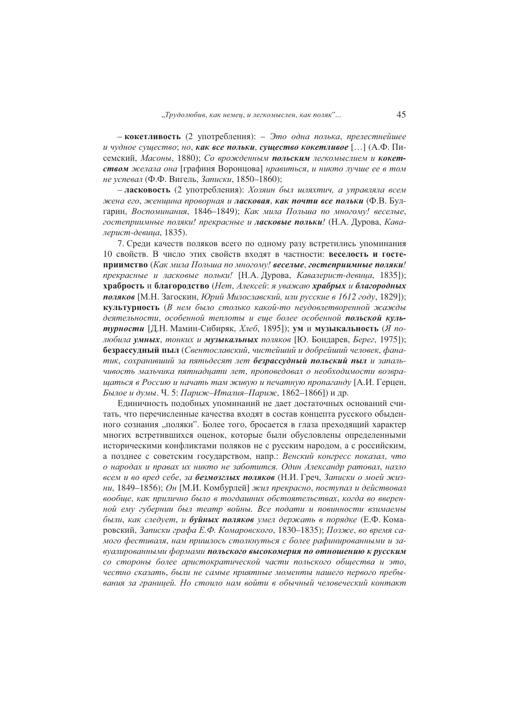- кокетливость (2 употребления): - Это одна полька, прелестнейшее и чудное существо; но, как все польки, существо кокетливое [...] (А.Ф. Писемский, Масоны, 1880); Со врожденным польским легкомыслием и кокетством желала она [графиня Воронцова] нравиться, и никто лучше ее в том не успевал (Ф.Ф. Вигель, Записки, 1850-1860);

– ласковость (2 употребления): Хозяин был шляхтич, а управляла всем жена его, женщина проворная и ласковая, как почти все польки (Ф.В. Булгарин, Воспоминания, 1846-1849); Как мила Польша по многому! веселые, гостеприимные поляки! прекрасные и **ласковые польки**! (Н.А. Дурова, Кавалерист-девшиа, 1835).

7. Среди качеств поляков всего по одному разу встретились упоминания 10 свойств. В число этих свойств входят в частности: веселость и гостеприимство (Как мила Польша по многому! веселые, гостеприимные поляки! прекрасные и ласковые польки! [Н.А. Дурова, Кавалерист-девица, 1835]); храбрость и благородство (Нет, Алексей: я уважаю храбрых и благородных **поляков** [М.Н. Загоскин, Юрий Милославский, или русские в 1612 году, 1829]); культурность (В нем было столько какой-то неудовлетворенной жажды деятельности, особенной теплоты и еще более особенной польской культурности [Д.Н. Мамин-Сибиряк, *Хлеб*, 1895]); ум и музыкальность (Я полюбила умных, тонких и музыкальных поляков [Ю. Бондарев, Берег, 1975]); безрассудный пыл (Свентославский, чистейший и добрейший человек, фанатик, сохранивший за пятьдесят лет безрассудный польский пыл и запальчивость мальчика пятнадиати лет, проповедовал о необходимости возврашаться в Россию и начать там живую и печатную пропаганду [А.И. Герцен, Былое и думы. Ч. 5: Париж-Италия-Париж, 1862-1866]) и др.

Единичность подобных упоминаний не дает достаточных оснований считать, что перечисленные качества входят в состав концепта русского обыденного сознания "поляки". Более того, бросается в глаза преходящий характер многих встретившихся оценок, которые были обусловлены определенными историческими конфликтами поляков не с русским народом, а с российским, а позднее с советским государством, напр.: Венский конгресс показал, что о народах и правах их никто не заботится. Один Александр ратовал, назло всем и во вред себе, за безмозглых поляков (Н.И. Греч, Записки о моей жизни, 1849–1856); Он [М.И. Комбурлей] жил прекрасно, поступал и действовал вообще, как прилично было в тогдашних обстоятельствах, когда во вверенной ему губернии был театр войны. Все подати и повинности взимаемы были, как следует, и **буйных поляков** умел держать в порядке (Е.Ф. Комаровский. Записки графа Е.Ф. Комаровского. 1830-1835); Позже, во время самого фестиваля, нам пришлось столкнуться с более рафинированными и завуалированными формами польского высокомерия по отношению к русским со стороны более аристократической части польского общества и это, честно сказать, были не самые приятные моменты нашего первого пребывания за границей. Но стоило нам войти в обычный человеческий контакт